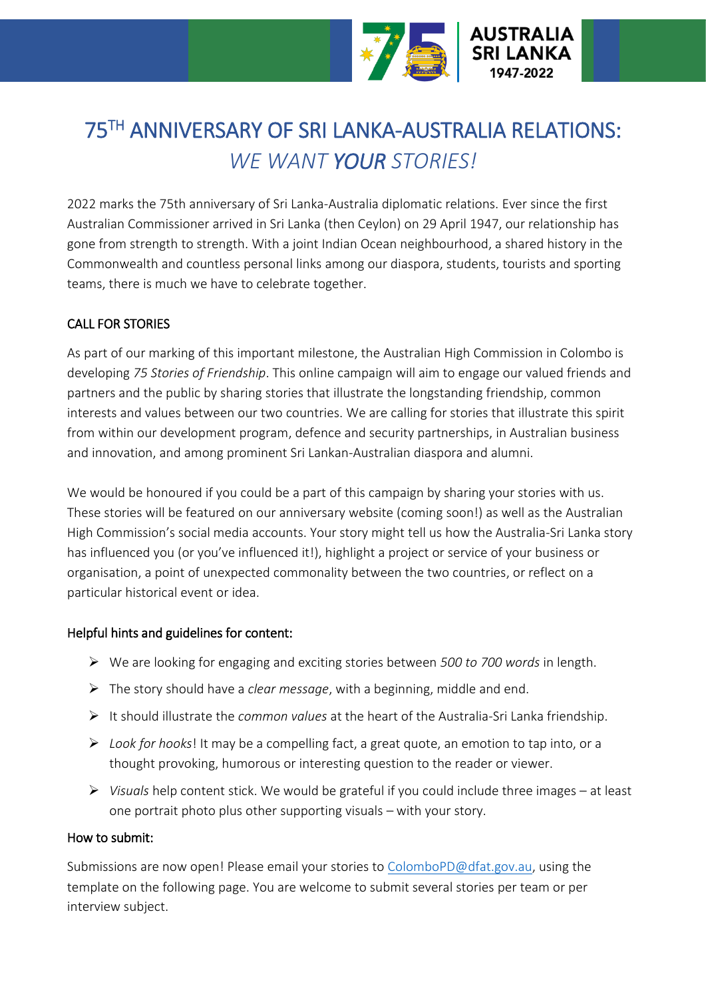

# 75TH ANNIVERSARY OF SRI LANKA-AUSTRALIA RELATIONS: *WE WANT YOUR STORIES!*

2022 marks the 75th anniversary of Sri Lanka-Australia diplomatic relations. Ever since the first Australian Commissioner arrived in Sri Lanka (then Ceylon) on 29 April 1947, our relationship has gone from strength to strength. With a joint Indian Ocean neighbourhood, a shared history in the Commonwealth and countless personal links among our diaspora, students, tourists and sporting teams, there is much we have to celebrate together.

### CALL FOR STORIES

As part of our marking of this important milestone, the Australian High Commission in Colombo is developing *75 Stories of Friendship*. This online campaign will aim to engage our valued friends and partners and the public by sharing stories that illustrate the longstanding friendship, common interests and values between our two countries. We are calling for stories that illustrate this spirit from within our development program, defence and security partnerships, in Australian business and innovation, and among prominent Sri Lankan-Australian diaspora and alumni.

We would be honoured if you could be a part of this campaign by sharing your stories with us. These stories will be featured on our anniversary website (coming soon!) as well as the Australian High Commission's social media accounts. Your story might tell us how the Australia-Sri Lanka story has influenced you (or you've influenced it!), highlight a project or service of your business or organisation, a point of unexpected commonality between the two countries, or reflect on a particular historical event or idea.

#### Helpful hints and guidelines for content:

- We are looking for engaging and exciting stories between *500 to 700 words* in length.
- The story should have a *clear message*, with a beginning, middle and end.
- It should illustrate the *common values* at the heart of the Australia-Sri Lanka friendship.
- *Look for hooks*! It may be a compelling fact, a great quote, an emotion to tap into, or a thought provoking, humorous or interesting question to the reader or viewer.
- *Visuals* help content stick. We would be grateful if you could include three images at least one portrait photo plus other supporting visuals – with your story.

#### How to submit:

Submissions are now open! Please email your stories to [ColomboPD@dfat.gov.au,](mailto:ColomboPD@dfat.gov.au) using the template on the following page. You are welcome to submit several stories per team or per interview subject.